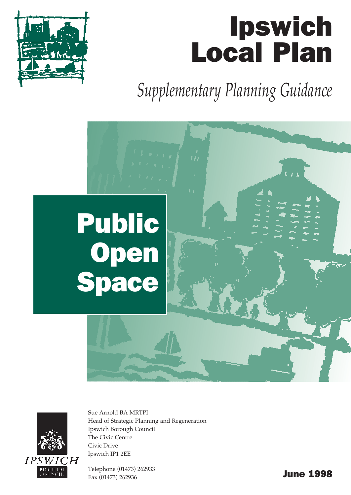# Ipswich Local Plan

*Supplementary Planning Guidance*





Sue Arnold BA MRTPI Head of Strategic Planning and Regeneration Ipswich Borough Council The Civic Centre Civic Drive Ipswich IP1 2EE

Telephone (01473) 262933 Fax (01473) 262936 **June 1998**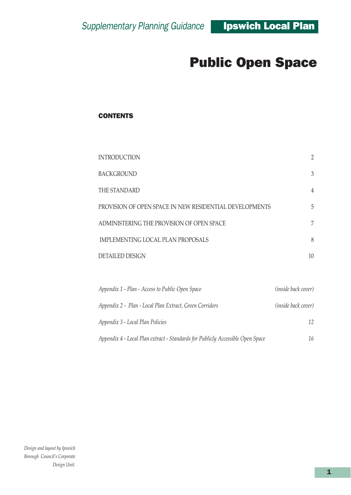#### **CONTENTS**

| <b>INTRODUCTION</b>                                     | $\overline{2}$ |  |
|---------------------------------------------------------|----------------|--|
| <b>BACKGROUND</b>                                       | 3              |  |
| THE STANDARD                                            | 4              |  |
| PROVISION OF OPEN SPACE IN NEW RESIDENTIAL DEVELOPMENTS | 5              |  |
| ADMINISTERING THE PROVISION OF OPEN SPACE               |                |  |
| IMPLEMENTING LOCAL PLAN PROPOSALS                       |                |  |
| <b>DETAILED DESIGN</b>                                  | 10             |  |
|                                                         |                |  |

| Appendix 1 - Plan - Access to Public Open Space                                | <i>(inside back cover)</i> |
|--------------------------------------------------------------------------------|----------------------------|
| Appendix 2 - Plan - Local Plan Extract, Green Corridors                        | <i>(inside back cover)</i> |
| Appendix 3 - Local Plan Policies                                               | 12                         |
| Appendix 4 - Local Plan extract - Standards for Publicly Accessible Open Space | 16                         |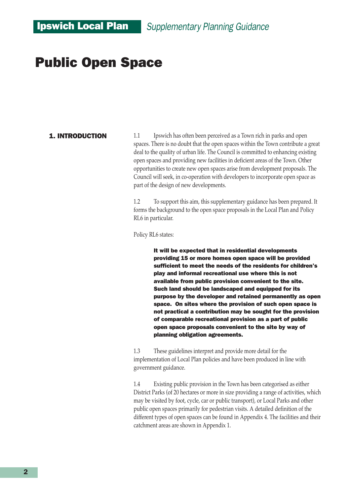#### 1. INTRODUCTION

1.1 Ipswich has often been perceived as a Town rich in parks and open spaces. There is no doubt that the open spaces within the Town contribute a great deal to the quality of urban life. The Council is committed to enhancing existing open spaces and providing new facilities in deficient areas of the Town. Other opportunities to create new open spaces arise from development proposals. The Council will seek, in co-operation with developers to incorporate open space as part of the design of new developments.

1.2 To support this aim, this supplementary guidance has been prepared. It forms the background to the open space proposals in the Local Plan and Policy RL6 in particular.

Policy RL6 states:

It will be expected that in residential developments providing 15 or more homes open space will be provided sufficient to meet the needs of the residents for children's play and informal recreational use where this is not available from public provision convenient to the site. Such land should be landscaped and equipped for its purpose by the developer and retained permanently as open space. On sites where the provision of such open space is not practical a contribution may be sought for the provision of comparable recreational provision as a part of public open space proposals convenient to the site by way of planning obligation agreements.

1.3 These guidelines interpret and provide more detail for the implementation of Local Plan policies and have been produced in line with government guidance.

1.4 Existing public provision in the Town has been categorised as either District Parks (of 20 hectares or more in size providing a range of activities, which may be visited by foot, cycle, car or public transport), or Local Parks and other public open spaces primarily for pedestrian visits. A detailed definition of the different types of open spaces can be found in Appendix 4. The facilities and their catchment areas are shown in Appendix 1.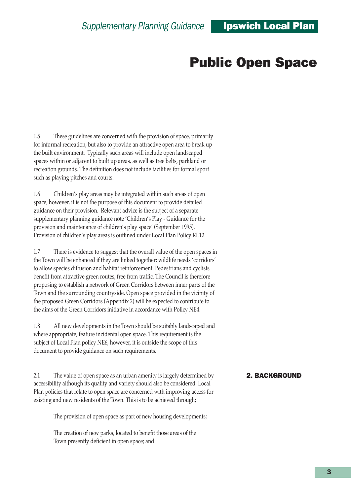1.5 These guidelines are concerned with the provision of space, primarily for informal recreation, but also to provide an attractive open area to break up the built environment. Typically such areas will include open landscaped spaces within or adjacent to built up areas, as well as tree belts, parkland or recreation grounds. The definition does not include facilities for formal sport such as playing pitches and courts.

1.6 Childrenís play areas may be integrated within such areas of open space, however, it is not the purpose of this document to provide detailed guidance on their provision. Relevant advice is the subject of a separate supplementary planning guidance note 'Children's Play - Guidance for the provision and maintenance of children's play space' (September 1995). Provision of children's play areas is outlined under Local Plan Policy RL12.

1.7 There is evidence to suggest that the overall value of the open spaces in the Town will be enhanced if they are linked together; wildlife needs 'corridors' to allow species diffusion and habitat reinforcement. Pedestrians and cyclists benefit from attractive green routes, free from traffic. The Council is therefore proposing to establish a network of Green Corridors between inner parts of the Town and the surrounding countryside. Open space provided in the vicinity of the proposed Green Corridors (Appendix 2) will be expected to contribute to the aims of the Green Corridors initiative in accordance with Policy NE4.

1.8 All new developments in the Town should be suitably landscaped and where appropriate, feature incidental open space. This requirement is the subject of Local Plan policy NE6, however, it is outside the scope of this document to provide guidance on such requirements.

2.1 The value of open space as an urban amenity is largely determined by accessibility although its quality and variety should also be considered. Local Plan policies that relate to open space are concerned with improving access for existing and new residents of the Town. This is to be achieved through;

The provision of open space as part of new housing developments;

The creation of new parks, located to benefit those areas of the Town presently deficient in open space; and

#### 2. BACKGROUND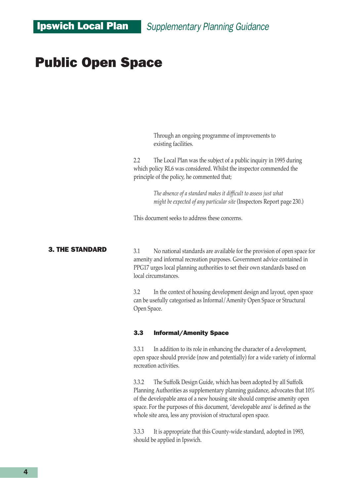Through an ongoing programme of improvements to existing facilities.

2.2 The Local Plan was the subject of a public inquiry in 1995 during which policy RL6 was considered. Whilst the inspector commended the principle of the policy, he commented that;

> *The absence of a standard makes it difficult to assess just what might be expected of any particular site* (Inspectors Report page 230.)

This document seeks to address these concerns.

#### 3. THE STANDARD

3.1 No national standards are available for the provision of open space for amenity and informal recreation purposes. Government advice contained in PPG17 urges local planning authorities to set their own standards based on local circumstances.

3.2 In the context of housing development design and layout, open space can be usefully categorised as Informal/Amenity Open Space or Structural Open Space.

#### 3.3 Informal/Amenity Space

3.3.1 In addition to its role in enhancing the character of a development, open space should provide (now and potentially) for a wide variety of informal recreation activities.

3.3.2 The Suffolk Design Guide, which has been adopted by all Suffolk Planning Authorities as supplementary planning guidance, advocates that 10% of the developable area of a new housing site should comprise amenity open space. For the purposes of this document, 'developable area' is defined as the whole site area, less any provision of structural open space.

3.3.3 It is appropriate that this County-wide standard, adopted in 1993, should be applied in Ipswich.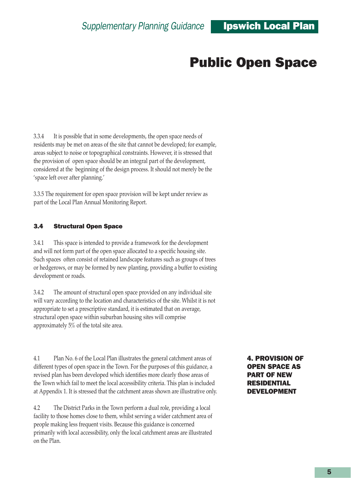3.3.4 It is possible that in some developments, the open space needs of residents may be met on areas of the site that cannot be developed; for example, areas subject to noise or topographical constraints. However, it is stressed that the provision of open space should be an integral part of the development, considered at the beginning of the design process. It should not merely be the 'space left over after planning.'

3.3.5 The requirement for open space provision will be kept under review as part of the Local Plan Annual Monitoring Report.

#### 3.4 Structural Open Space

3.4.1 This space is intended to provide a framework for the development and will not form part of the open space allocated to a specific housing site. Such spaces often consist of retained landscape features such as groups of trees or hedgerows, or may be formed by new planting, providing a buffer to existing development or roads.

3.4.2 The amount of structural open space provided on any individual site will vary according to the location and characteristics of the site. Whilst it is not appropriate to set a prescriptive standard, it is estimated that on average, structural open space within suburban housing sites will comprise approximately 5% of the total site area.

4.1 Plan No. 6 of the Local Plan illustrates the general catchment areas of different types of open space in the Town. For the purposes of this guidance, a revised plan has been developed which identifies more clearly those areas of the Town which fail to meet the local accessibility criteria. This plan is included at Appendix 1. It is stressed that the catchment areas shown are illustrative only.

4.2 The District Parks in the Town perform a dual role, providing a local facility to those homes close to them, whilst serving a wider catchment area of people making less frequent visits. Because this guidance is concerned primarily with local accessibility, only the local catchment areas are illustrated on the Plan.

4. PROVISION OF OPEN SPACE AS PART OF NEW RESIDENTIAL DEVELOPMENT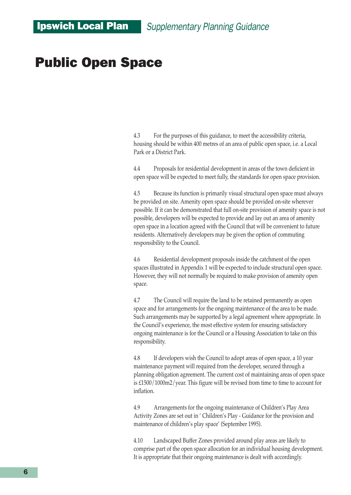4.3 For the purposes of this guidance, to meet the accessibility criteria, housing should be within 400 metres of an area of public open space, i.e. a Local Park or a District Park.

4.4 Proposals for residential development in areas of the town deficient in open space will be expected to meet fully, the standards for open space provision.

4.5 Because its function is primarily visual structural open space must always be provided on site. Amenity open space should be provided on-site wherever possible. If it can be demonstrated that full on-site provision of amenity space is not possible, developers will be expected to provide and lay out an area of amenity open space in a location agreed with the Council that will be convenient to future residents. Alternatively developers may be given the option of commuting responsibility to the Council.

4.6 Residential development proposals inside the catchment of the open spaces illustrated in Appendix 1 will be expected to include structural open space. However, they will not normally be required to make provision of amenity open space.

4.7 The Council will require the land to be retained permanently as open space and for arrangements for the ongoing maintenance of the area to be made. Such arrangements may be supported by a legal agreement where appropriate. In the Council's experience, the most effective system for ensuring satisfactory ongoing maintenance is for the Council or a Housing Association to take on this responsibility.

4.8 If developers wish the Council to adopt areas of open space, a 10 year maintenance payment will required from the developer, secured through a planning obligation agreement. The current cost of maintaining areas of open space is £1500/1000m2/year. This figure will be revised from time to time to account for inflation.

4.9 Arrangements for the ongoing maintenance of Children's Play Area Activity Zones are set out in 'Children's Play - Guidance for the provision and maintenance of children's play space' (September 1995).

4.10 Landscaped Buffer Zones provided around play areas are likely to comprise part of the open space allocation for an individual housing development. It is appropriate that their ongoing maintenance is dealt with accordingly.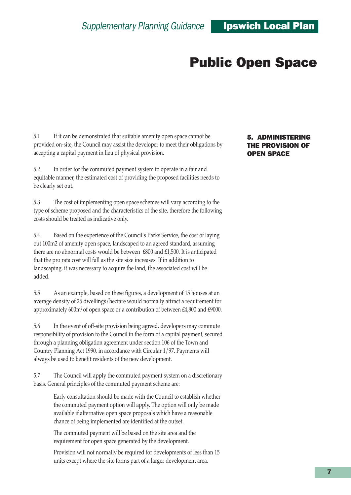5.1 If it can be demonstrated that suitable amenity open space cannot be provided on-site, the Council may assist the developer to meet their obligations by accepting a capital payment in lieu of physical provision.

5.2 In order for the commuted payment system to operate in a fair and equitable manner, the estimated cost of providing the proposed facilities needs to be clearly set out.

5.3 The cost of implementing open space schemes will vary according to the type of scheme proposed and the characteristics of the site, therefore the following costs should be treated as indicative only.

5.4 Based on the experience of the Councilís Parks Service, the cost of laying out 100m2 of amenity open space, landscaped to an agreed standard, assuming there are no abnormal costs would be between £800 and £1,500. It is anticipated that the pro rata cost will fall as the site size increases. If in addition to landscaping, it was necessary to acquire the land, the associated cost will be added.

5.5 As an example, based on these figures, a development of 15 houses at an average density of 25 dwellings/hectare would normally attract a requirement for approximately 600m<sup>2</sup> of open space or a contribution of between £4,800 and £9000.

5.6 In the event of off-site provision being agreed, developers may commute responsibility of provision to the Council in the form of a capital payment, secured through a planning obligation agreement under section 106 of the Town and Country Planning Act 1990, in accordance with Circular 1/97. Payments will always be used to benefit residents of the new development.

5.7 The Council will apply the commuted payment system on a discretionary basis. General principles of the commuted payment scheme are:

> Early consultation should be made with the Council to establish whether the commuted payment option will apply. The option will only be made available if alternative open space proposals which have a reasonable chance of being implemented are identified at the outset.

The commuted payment will be based on the site area and the requirement for open space generated by the development.

Provision will not normally be required for developments of less than 15 units except where the site forms part of a larger development area.

#### 5. ADMINISTERING THE PROVISION OF OPEN SPACE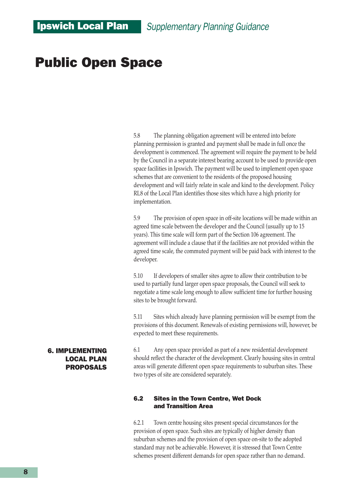5.8 The planning obligation agreement will be entered into before planning permission is granted and payment shall be made in full once the development is commenced. The agreement will require the payment to be held by the Council in a separate interest bearing account to be used to provide open space facilities in Ipswich. The payment will be used to implement open space schemes that are convenient to the residents of the proposed housing development and will fairly relate in scale and kind to the development. Policy RL8 of the Local Plan identifies those sites which have a high priority for implementation.

5.9 The provision of open space in off-site locations will be made within an agreed time scale between the developer and the Council (usually up to 15 years). This time scale will form part of the Section 106 agreement. The agreement will include a clause that if the facilities are not provided within the agreed time scale, the commuted payment will be paid back with interest to the developer.

5.10 If developers of smaller sites agree to allow their contribution to be used to partially fund larger open space proposals, the Council will seek to negotiate a time scale long enough to allow sufficient time for further housing sites to be brought forward.

5.11 Sites which already have planning permission will be exempt from the provisions of this document. Renewals of existing permissions will, however, be expected to meet these requirements.

6.1 Any open space provided as part of a new residential development should reflect the character of the development. Clearly housing sites in central areas will generate different open space requirements to suburban sites. These two types of site are considered separately.

#### 6.2 Sites in the Town Centre, Wet Dock and Transition Area

6.2.1 Town centre housing sites present special circumstances for the provision of open space. Such sites are typically of higher density than suburban schemes and the provision of open space on-site to the adopted standard may not be achievable. However, it is stressed that Town Centre schemes present different demands for open space rather than no demand.

#### 6. IMPLEMENTING LOCAL PLAN PROPOSALS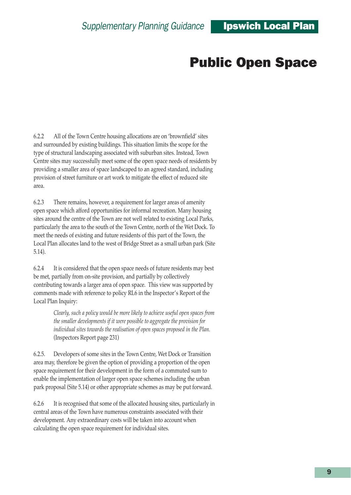6.2.2 All of the Town Centre housing allocations are on 'brownfield' sites and surrounded by existing buildings. This situation limits the scope for the type of structural landscaping associated with suburban sites. Instead, Town Centre sites may successfully meet some of the open space needs of residents by providing a smaller area of space landscaped to an agreed standard, including provision of street furniture or art work to mitigate the effect of reduced site area.

6.2.3 There remains, however, a requirement for larger areas of amenity open space which afford opportunities for informal recreation. Many housing sites around the centre of the Town are not well related to existing Local Parks, particularly the area to the south of the Town Centre, north of the Wet Dock. To meet the needs of existing and future residents of this part of the Town, the Local Plan allocates land to the west of Bridge Street as a small urban park (Site 5.14).

6.2.4 It is considered that the open space needs of future residents may best be met, partially from on-site provision, and partially by collectively contributing towards a larger area of open space. This view was supported by comments made with reference to policy RL6 in the Inspector's Report of the Local Plan Inquiry:

> *Clearly, such a policy would be more likely to achieve useful open spaces from the smaller developments if it were possible to aggregate the provision for individual sites towards the realisation of open spaces proposed in the Plan.* (Inspectors Report page 231)

6.2.5. Developers of some sites in the Town Centre, Wet Dock or Transition area may, therefore be given the option of providing a proportion of the open space requirement for their development in the form of a commuted sum to enable the implementation of larger open space schemes including the urban park proposal (Site 5.14) or other appropriate schemes as may be put forward.

6.2.6 It is recognised that some of the allocated housing sites, particularly in central areas of the Town have numerous constraints associated with their development. Any extraordinary costs will be taken into account when calculating the open space requirement for individual sites.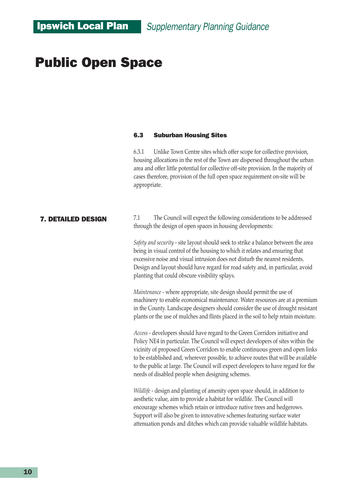#### 6.3 Suburban Housing Sites

6.3.1 Unlike Town Centre sites which offer scope for collective provision, housing allocations in the rest of the Town are dispersed throughout the urban area and offer little potential for collective off-site provision. In the majority of cases therefore, provision of the full open space requirement on-site will be appropriate.

#### 7. DETAILED DESIGN

7.1 The Council will expect the following considerations to be addressed through the design of open spaces in housing developments:

*Safety and security -* site layout should seek to strike a balance between the area being in visual control of the housing to which it relates and ensuring that excessive noise and visual intrusion does not disturb the nearest residents. Design and layout should have regard for road safety and, in particular, avoid planting that could obscure visibility splays.

*Maintenance* - where appropriate, site design should permit the use of machinery to enable economical maintenance. Water resources are at a premium in the County. Landscape designers should consider the use of drought resistant plants or the use of mulches and flints placed in the soil to help retain moisture.

*Access -* developers should have regard to the Green Corridors initiative and Policy NE4 in particular. The Council will expect developers of sites within the vicinity of proposed Green Corridors to enable continuous green and open links to be established and, wherever possible, to achieve routes that will be available to the public at large. The Council will expect developers to have regard for the needs of disabled people when designing schemes.

*Wildlife* - design and planting of amenity open space should, in addition to aesthetic value, aim to provide a habitat for wildlife. The Council will encourage schemes which retain or introduce native trees and hedgerows. Support will also be given to innovative schemes featuring surface water attenuation ponds and ditches which can provide valuable wildlife habitats.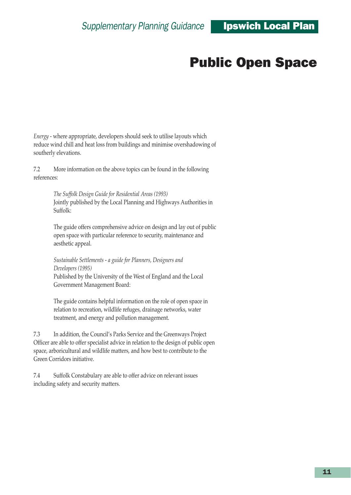*Energy -* where appropriate, developers should seek to utilise layouts which reduce wind chill and heat loss from buildings and minimise overshadowing of southerly elevations.

7.2 More information on the above topics can be found in the following references:

> *The Suffolk Design Guide for Residential Areas (1993)* Jointly published by the Local Planning and Highways Authorities in Suffolk:

The guide offers comprehensive advice on design and lay out of public open space with particular reference to security, maintenance and aesthetic appeal.

*Sustainable Settlements - a guide for Planners, Designers and Developers (1995)* Published by the University of the West of England and the Local Government Management Board:

The guide contains helpful information on the role of open space in relation to recreation, wildlife refuges, drainage networks, water treatment, and energy and pollution management.

7.3 In addition, the Councilís Parks Service and the Greenways Project Officer are able to offer specialist advice in relation to the design of public open space, arboricultural and wildlife matters, and how best to contribute to the Green Corridors initiative.

7.4 Suffolk Constabulary are able to offer advice on relevant issues including safety and security matters.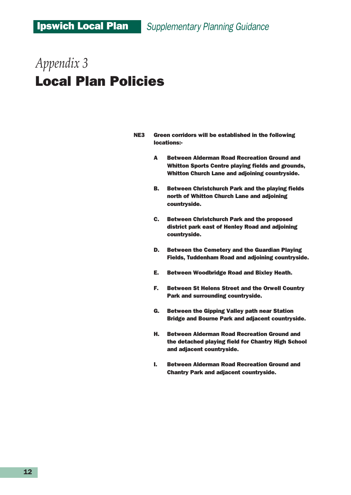- NE3 Green corridors will be established in the following locations:-
	- A Between Alderman Road Recreation Ground and Whitton Sports Centre playing fields and grounds, Whitton Church Lane and adjoining countryside.
	- B. Between Christchurch Park and the playing fields north of Whitton Church Lane and adjoining countryside.
	- C. Between Christchurch Park and the proposed district park east of Henley Road and adjoining countryside.
	- D. Between the Cemetery and the Guardian Playing Fields, Tuddenham Road and adjoining countryside.
	- E. Between Woodbridge Road and Bixley Heath.
	- F. Between St Helens Street and the Orwell Country Park and surrounding countryside.
	- G. Between the Gipping Valley path near Station Bridge and Bourne Park and adjacent countryside.
	- H. Between Alderman Road Recreation Ground and the detached playing field for Chantry High School and adjacent countryside.
	- I. Between Alderman Road Recreation Ground and Chantry Park and adjacent countryside.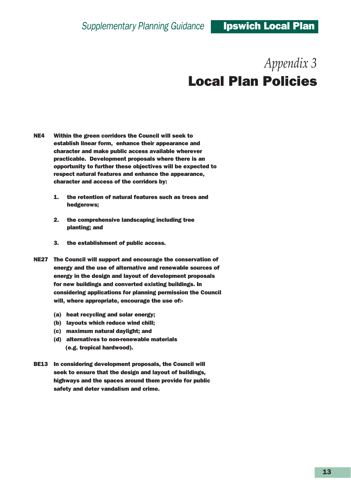- NE4 Within the green corridors the Council will seek to establish linear form, enhance their appearance and character and make public access available wherever practicable. Development proposals where there is an opportunity to further these objectives will be expected to respect natural features and enhance the appearance, character and access of the corridors by:
	- 1. the retention of natural features such as trees and hedgerows;
	- 2. the comprehensive landscaping including tree planting; and
	- 3. the establishment of public access.
- NE27 The Council will support and encourage the conservation of energy and the use of alternative and renewable sources of energy in the design and layout of development proposals for new buildings and converted existing buildings. In considering applications for planning permission the Council will, where appropriate, encourage the use of:-
	- (a) heat recycling and solar energy;
	- (b) layouts which reduce wind chill;
	- (c) maximum natural daylight; and
	- (d) alternatives to non-renewable materials (e.g. tropical hardwood).
- BE13 In considering development proposals, the Council will seek to ensure that the design and layout of buildings, highways and the spaces around them provide for public safety and deter vandalism and crime.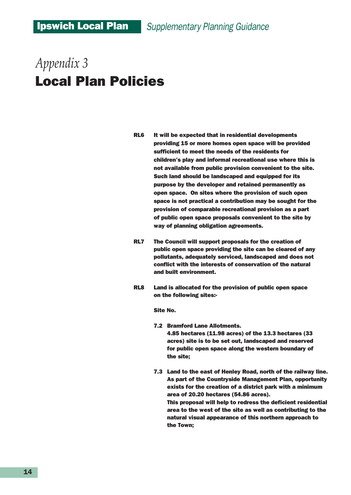- RL6 It will be expected that in residential developments providing 15 or more homes open space will be provided sufficient to meet the needs of the residents for children's play and informal recreational use where this is not available from public provision convenient to the site. Such land should be landscaped and equipped for its purpose by the developer and retained permanently as open space. On sites where the provision of such open space is not practical a contribution may be sought for the provision of comparable recreational provision as a part of public open space proposals convenient to the site by way of planning obligation agreements.
- RL7 The Council will support proposals for the creation of public open space providing the site can be cleared of any pollutants, adequately serviced, landscaped and does not conflict with the interests of conservation of the natural and built environment.
- RL8 Land is allocated for the provision of public open space on the following sites:-

Site No.

7.2 Bramford Lane Allotments.

4.85 hectares (11.98 acres) of the 13.3 hectares (33 acres) site is to be set out, landscaped and reserved for public open space along the western boundary of the site;

7.3 Land to the east of Henley Road, north of the railway line. As part of the Countryside Management Plan, opportunity exists for the creation of a district park with a minimum area of 20.20 hectares (54.86 acres). This proposal will help to redress the deficient residential area to the west of the site as well as contributing to the natural visual appearance of this northern approach to the Town;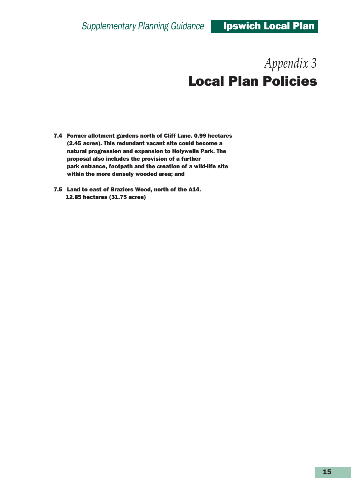- 7.4 Former allotment gardens north of Cliff Lane. 0.99 hectares (2.45 acres). This redundant vacant site could become a natural progression and expansion to Holywells Park. The proposal also includes the provision of a further park entrance, footpath and the creation of a wild-life site within the more densely wooded area; and
- 7.5 Land to east of Braziers Wood, north of the A14. 12.85 hectares (31.75 acres)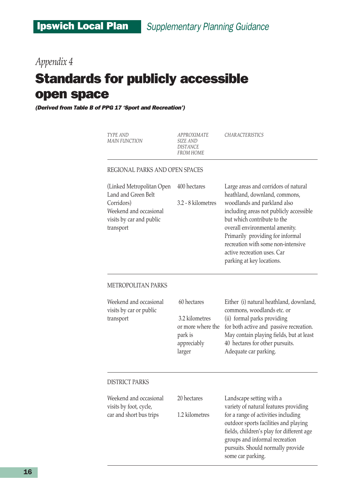### *Appendix 4*

## Standards for publicly accessible open space

*(Derived from Table B of PPG 17 'Sport and Recreation')*

*TYPE AND APPROXIMATE CHARACTERISTICS MAIN FUNCTION SIZE AND DISTANCE FROM HOME* REGIONAL PARKS AND OPEN SPACES (Linked Metropolitan Open 400 hectares Large areas and corridors of natural Land and Green Belt heathland, downland, commons, Corridors) 3.2 - 8 kilometres woodlands and parkland also Weekend and occasional including areas not publicly accessible visits by car and public but which contribute to the transport overall environmental amenity. Primarily providing for informal recreation with some non-intensive active recreation uses. Car parking at key locations. METROPOLITAN PARKS Weekend and occasional 60 hectares Either (i) natural heathland, downland, visits by car or public commons, woodlands etc. or transport 3.2 kilometres (ii) formal parks providing or more where the for both active and passive recreation. park is May contain playing fields, but at least appreciably 40 hectares for other pursuits. larger Adequate car parking. DISTRICT PARKS Weekend and occasional 20 hectares Landscape setting with a visits by foot, cycle, variety of natural features providing car and short bus trips 1.2 kilometres for a range of activities including outdoor sports facilities and playing fields, children's play for different age groups and informal recreation pursuits. Should normally provide

some car parking.